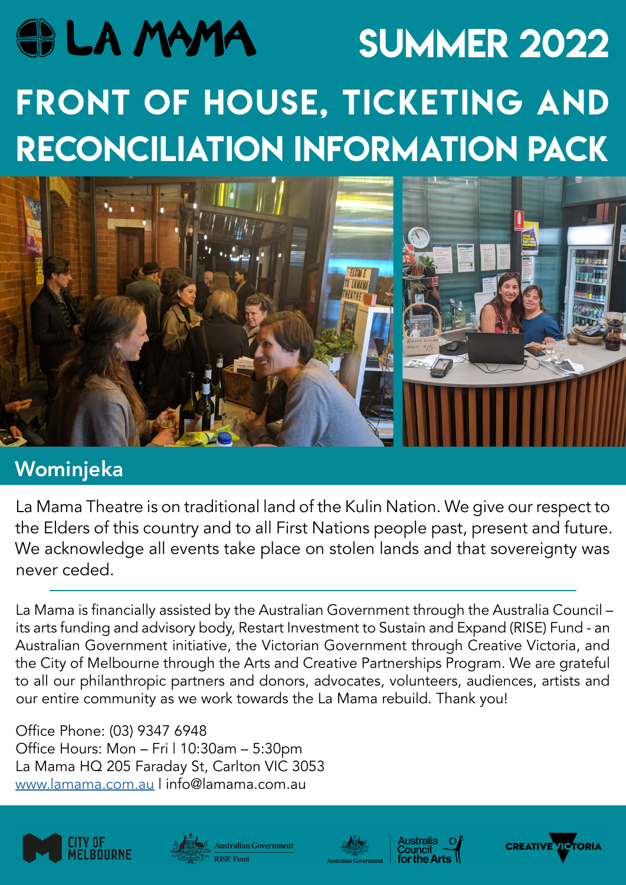# **SOLA MAMA SUMMER 2022** FRONT OF HOUSE, TICKETING AND RECONCILIATION INFORMATION PACK



# Wominjeka

La Mama Theatre is on traditional land of the Kulin Nation. We give our respect to the Elders of this country and to all First Nations people past, present and future. We acknowledge all events take place on stolen lands and that sovereignty was never ceded.

La Mama is financially assisted by the Australian Government through the Australia Council – its arts funding and advisory body, Restart Investment to Sustain and Expand (RISE) Fund - an Australian Government initiative, the Victorian Government through Creative Victoria, and the City of Melbourne through the Arts and Creative Partnerships Program. We are grateful to all our philanthropic partners and donors, advocates, volunteers, audiences, artists and our entire community as we work towards the La Mama rebuild. Thank you!

Office Phone: (03) 9347 6948 Office Hours: Mon – Fri | 10:30am – 5:30pm La Mama HQ 205 Faraday St, Carlton VIC 3053 www.lamama.com.au | info@lamama.com.au









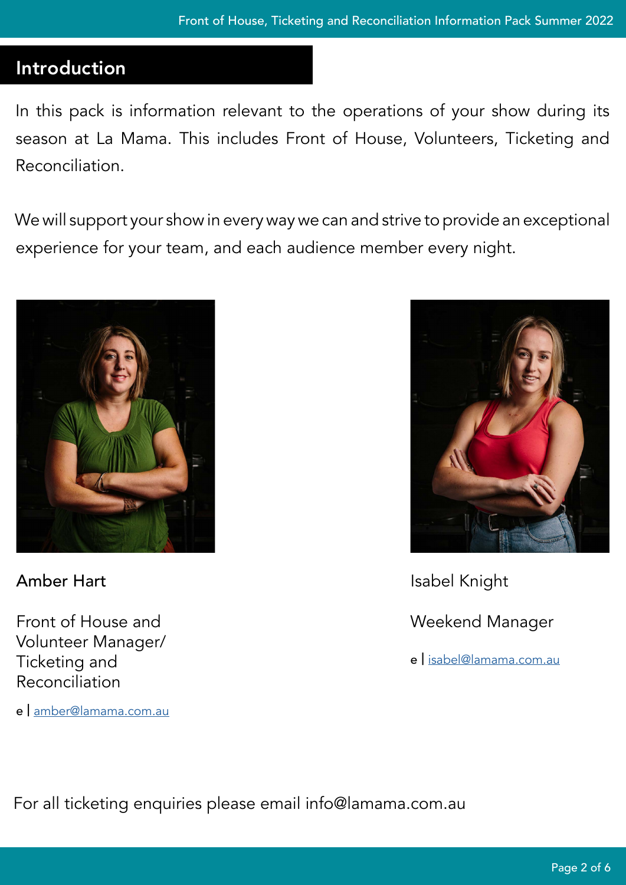## Introduction

In this pack is information relevant to the operations of your show during its season at La Mama. This includes Front of House, Volunteers, Ticketing and Reconciliation.

We will support your show in every way we can and strive to provide an exceptional experience for your team, and each audience member every night.



Amber Hart

Front of House and Volunteer Manager/ Ticketing and Reconciliation

e | amber[@lamama.com.au](mailto:sophia@lamama.com.au)



Isabel Knight Weekend Manager e | isabel@lamama.com.au

For all ticketing enquiries please email info@lamama.com.au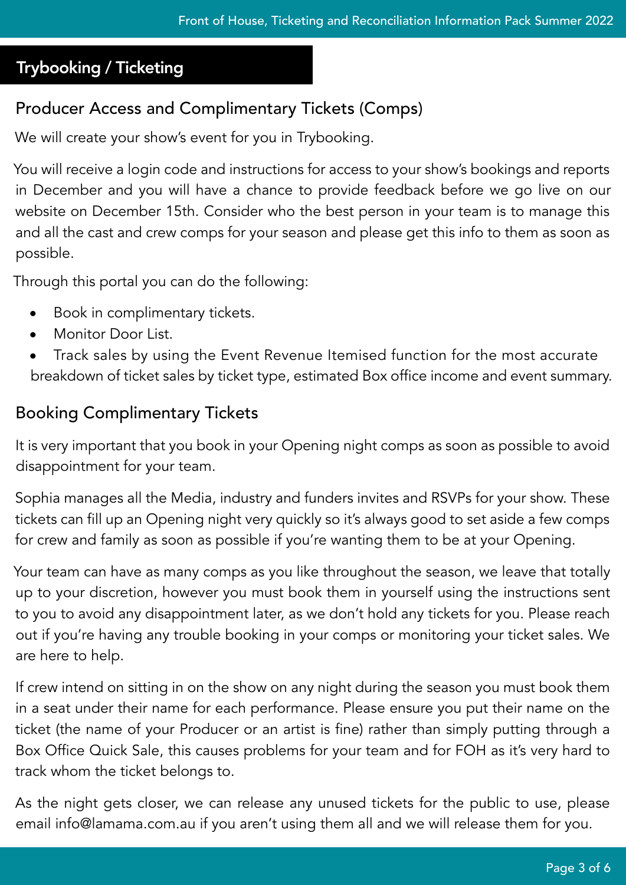#### Trybooking / Ticketing

### Producer Access and Complimentary Tickets (Comps)

We will create your show's event for you in Trybooking.

You will receive a login code and instructions for access to your show's bookings and reports in December and you will have a chance to provide feedback before we go live on our website on December 15th. Consider who the best person in your team is to manage this and all the cast and crew comps for your season and please get this info to them as soon as possible.

Through this portal you can do the following:

- **•** Book in complimentary tickets.
- **•** Monitor Door List.
- **•** Track sales by using the Event Revenue Itemised function for the most accurate breakdown of ticket sales by ticket type, estimated Box office income and event summary.

#### Booking Complimentary Tickets

It is very important that you book in your Opening night comps as soon as possible to avoid disappointment for your team.

Sophia manages all the Media, industry and funders invites and RSVPs for your show. These tickets can fill up an Opening night very quickly so it's always good to set aside a few comps for crew and family as soon as possible if you're wanting them to be at your Opening.

Your team can have as many comps as you like throughout the season, we leave that totally up to your discretion, however you must book them in yourself using the instructions sent to you to avoid any disappointment later, as we don't hold any tickets for you. Please reach out if you're having any trouble booking in your comps or monitoring your ticket sales. We are here to help.

If crew intend on sitting in on the show on any night during the season you must book them in a seat under their name for each performance. Please ensure you put their name on the ticket (the name of your Producer or an artist is fine) rather than simply putting through a Box Office Quick Sale, this causes problems for your team and for FOH as it's very hard to track whom the ticket belongs to.

As the night gets closer, we can release any unused tickets for the public to use, please email info@lamama.com.au if you aren't using them all and we will release them for you.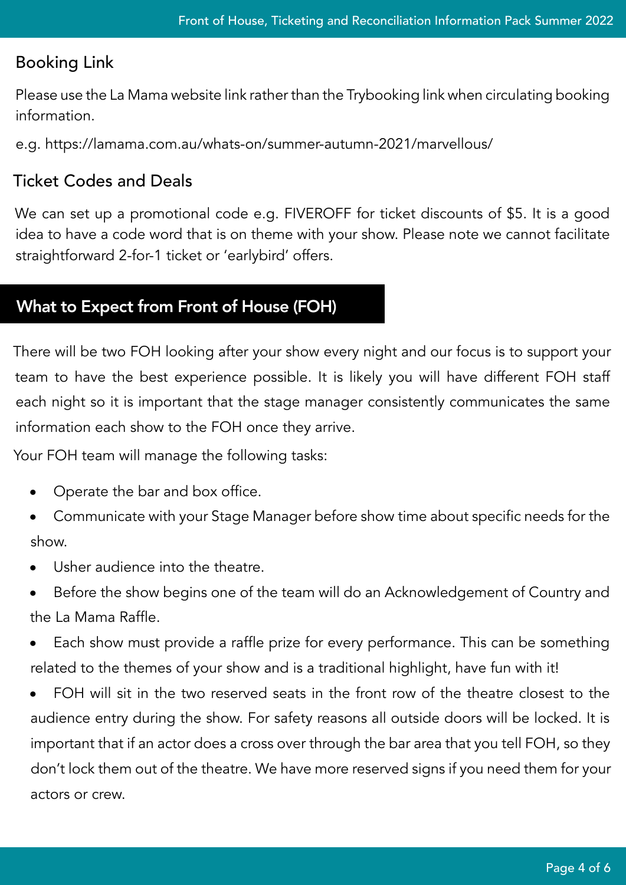#### Booking Link

Please use the La Mama website link rather than the Trybooking link when circulating booking information.

e.g. https://lamama.com.au/whats-on/summer-autumn-2021/marvellous/

#### Ticket Codes and Deals

We can set up a promotional code e.g. FIVEROFF for ticket discounts of \$5. It is a good idea to have a code word that is on theme with your show. Please note we cannot facilitate straightforward 2-for-1 ticket or 'earlybird' offers.

#### What to Expect from Front of House (FOH)

There will be two FOH looking after your show every night and our focus is to support your team to have the best experience possible. It is likely you will have different FOH staff each night so it is important that the stage manager consistently communicates the same information each show to the FOH once they arrive.

Your FOH team will manage the following tasks:

- **•** Operate the bar and box office.
- **•** Communicate with your Stage Manager before show time about specific needs for the show.
- **•** Usher audience into the theatre.
- **•** Before the show begins one of the team will do an Acknowledgement of Country and the La Mama Raffle.
- **•** Each show must provide a raffle prize for every performance. This can be something related to the themes of your show and is a traditional highlight, have fun with it!
- **•** FOH will sit in the two reserved seats in the front row of the theatre closest to the audience entry during the show. For safety reasons all outside doors will be locked. It is important that if an actor does a cross over through the bar area that you tell FOH, so they don't lock them out of the theatre. We have more reserved signs if you need them for your actors or crew.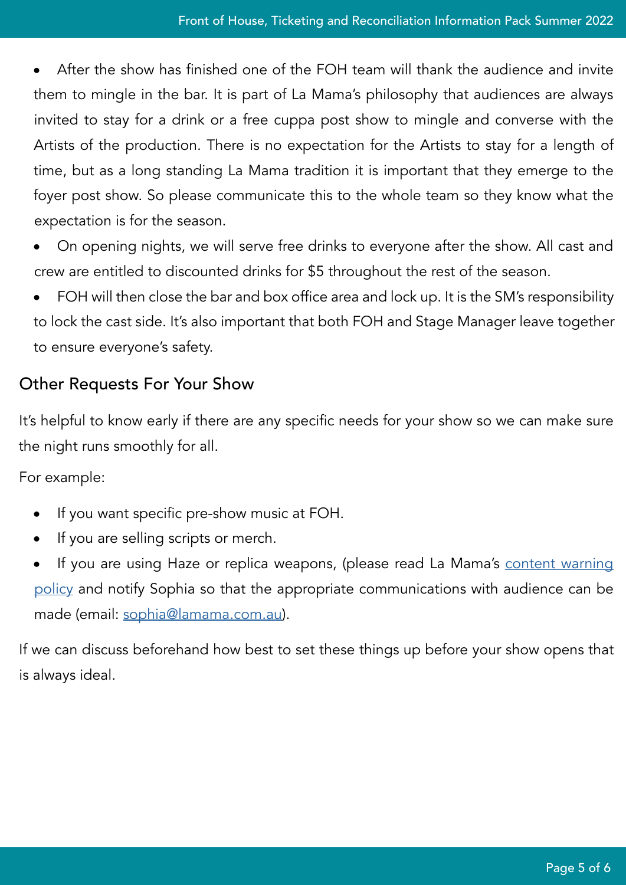**•** After the show has finished one of the FOH team will thank the audience and invite them to mingle in the bar. It is part of La Mama's philosophy that audiences are always invited to stay for a drink or a free cuppa post show to mingle and converse with the Artists of the production. There is no expectation for the Artists to stay for a length of time, but as a long standing La Mama tradition it is important that they emerge to the foyer post show. So please communicate this to the whole team so they know what the expectation is for the season.

- **•** On opening nights, we will serve free drinks to everyone after the show. All cast and crew are entitled to discounted drinks for \$5 throughout the rest of the season.
- **•** FOH will then close the bar and box office area and lock up. It is the SM's responsibility to lock the cast side. It's also important that both FOH and Stage Manager leave together to ensure everyone's safety.

#### Other Requests For Your Show

It's helpful to know early if there are any specific needs for your show so we can make sure the night runs smoothly for all.

For example:

- **•** If you want specific pre-show music at FOH.
- **•** If you are selling scripts or merch.
- If you are using Haze or replica weapons, (please read La Mama's content warning [policy](https://mk0lamama5nvxdwoi6u9.kinstacdn.com/app/uploads/2021/04/ContentWarnings.pdf) and notify Sophia so that the appropriate communications with audience can be made (email: [sophia@lamama.com.au](mailto:sophia@lamama.com.au)).

If we can discuss beforehand how best to set these things up before your show opens that is always ideal.